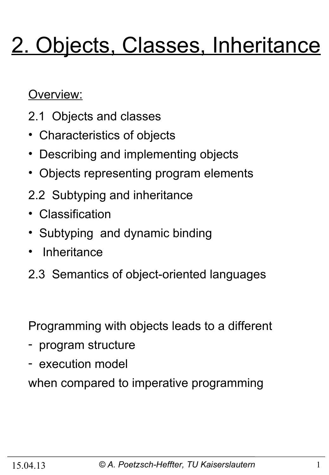# 2. Objects, Classes, Inheritance

Overview:

- 2.1 Objects and classes
- Characteristics of objects
- Describing and implementing objects
- Objects representing program elements
- 2.2 Subtyping and inheritance
- Classification
- Subtyping and dynamic binding
- Inheritance
- 2.3 Semantics of object-oriented languages

Programming with objects leads to a different

- program structure
- execution model

when compared to imperative programming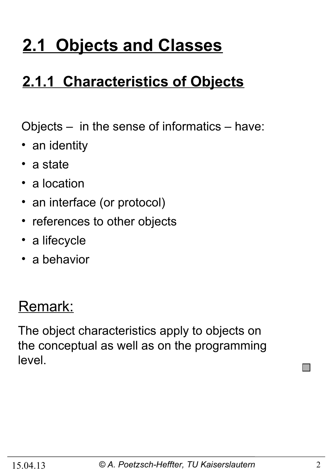# **2.1 Objects and Classes**

### **2.1.1 Characteristics of Objects**

Objects – in the sense of informatics – have:

- an identity
- a state
- a location
- an interface (or protocol)
- references to other objects
- a lifecycle
- a behavior

#### Remark:

The object characteristics apply to objects on the conceptual as well as on the programming level.

**COL**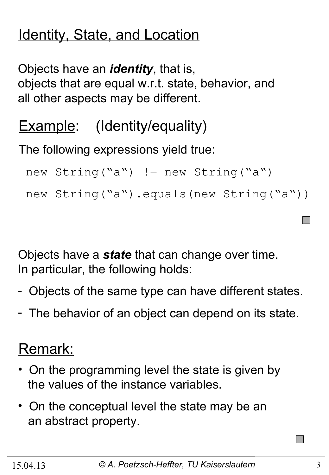### Identity, State, and Location

Objects have an *identity*, that is, objects that are equal w.r.t. state, behavior, and all other aspects may be different.

### **Example:** (Identity/equality)

The following expressions yield true:

```
new String("a") != new String("a")
new String("a").equals(new String("a"))
```
Objects have a *state* that can change over time. In particular, the following holds:

- Objects of the same type can have different states.
- The behavior of an object can depend on its state.

#### Remark:

- On the programming level the state is given by the values of the instance variables.
- On the conceptual level the state may be an an abstract property.

 $\Box$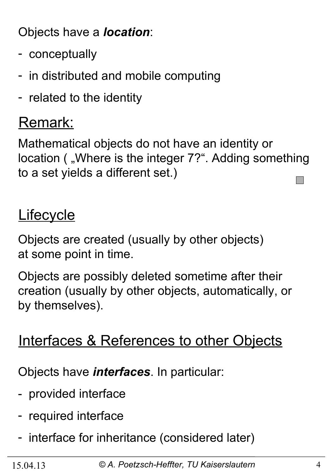Objects have a *location*:

- conceptually
- in distributed and mobile computing
- related to the identity

#### Remark:

Mathematical objects do not have an identity or location ( "Where is the integer 7?". Adding something to a set yields a different set.) **I** 

#### **Lifecycle**

Objects are created (usually by other objects) at some point in time.

Objects are possibly deleted sometime after their creation (usually by other objects, automatically, or by themselves).

#### Interfaces & References to other Objects

Objects have *interfaces*. In particular:

- provided interface
- required interface
- interface for inheritance (considered later)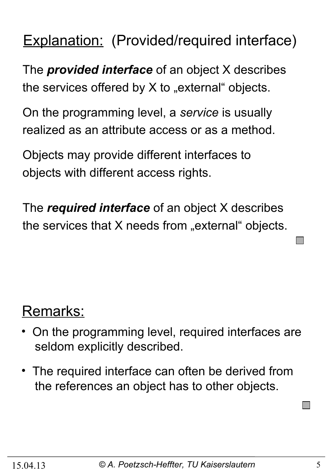#### Explanation: (Provided/required interface)

The *provided interface* of an object X describes the services offered by  $X$  to "external" objects.

On the programming level, a *service* is usually realized as an attribute access or as a method.

Objects may provide different interfaces to objects with different access rights.

The *required interface* of an object X describes the services that  $X$  needs from "external" objects.

#### Remarks:

- On the programming level, required interfaces are seldom explicitly described.
- The required interface can often be derived from the references an object has to other objects.

**I**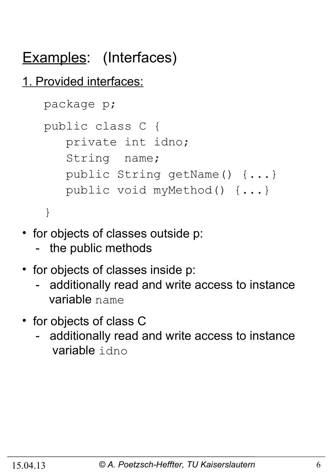### Examples: (Interfaces)

#### 1. Provided interfaces:

```
 package p;
 public class C {
    private int idno;
    String name;
    public String getName() {...}
    public void myMethod() {...}
 }
```
- for objects of classes outside p:
	- the public methods
- for objects of classes inside p:
	- additionally read and write access to instance variable name
- for objects of class C
	- additionally read and write access to instance variable idno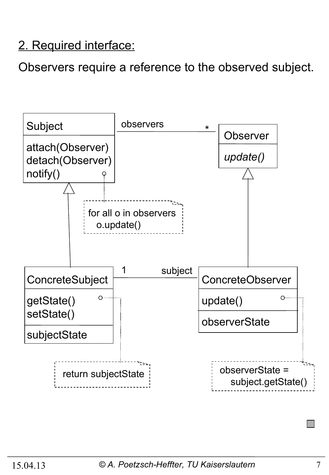#### 2. Required interface:

Observers require a reference to the observed subject.

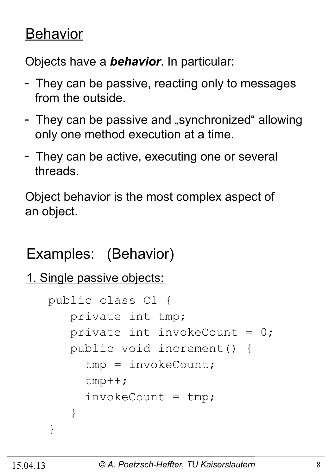#### **Behavior**

Objects have a *behavior*. In particular:

- They can be passive, reacting only to messages from the outside.
- They can be passive and "synchronized" allowing only one method execution at a time.
- They can be active, executing one or several threads.

Object behavior is the most complex aspect of an object.

#### Examples: (Behavior)

```
1. Single passive objects:
```

```
 public class C1 {
       private int tmp;
      private int invokeCount = 0;
       public void increment() {
         tmp = invokeCount;
         tmp++;
        invokeCount = tmp; }
    }
```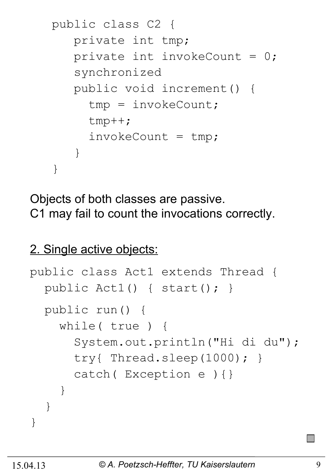```
 public class C2 {
       private int tmp;
      private int invokeCount = 0;
       synchronized 
       public void increment() {
         tmp = invokeCount;
         tmp++;
        invokeCount = tmp; }
    }
```
Objects of both classes are passive. C1 may fail to count the invocations correctly.

#### 2. Single active objects:

```
public class Act1 extends Thread {
   public Act1() { start(); }
   public run() {
     while( true ) {
       System.out.println("Hi di du");
       try{ Thread.sleep(1000); }
       catch( Exception e ){}
     }
   }
}
```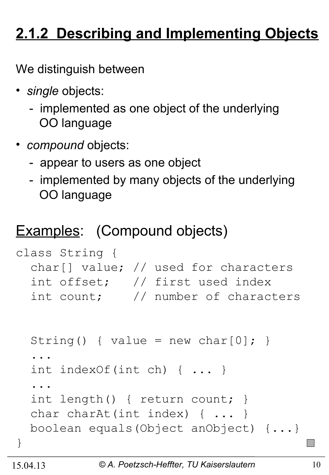### **2.1.2 Describing and Implementing Objects**

We distinguish between

- *single* objects:
	- implemented as one object of the underlying OO language
- *compound* objects:
	- appear to users as one object
	- implemented by many objects of the underlying OO language

#### Examples: (Compound objects)

```
class String {
   char[] value; // used for characters 
   int offset; // first used index 
   int count; // number of characters 
  String() { value = new char[0]; }
   ...
   int indexOf(int ch) { ... }
 ... 
   int length() { return count; }
  char charAt(int index) { ... }
  boolean equals(Object anObject) {...}
}
```
 $\mathbb{R}^n$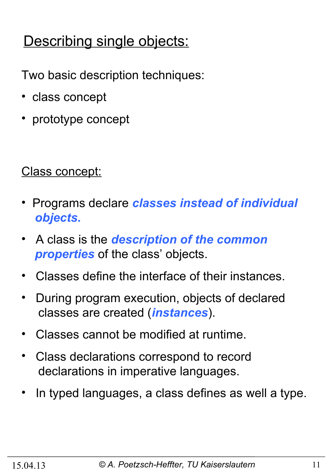#### Describing single objects:

Two basic description techniques:

- class concept
- prototype concept

#### Class concept:

- Programs declare *classes instead of individual objects.*
- A class is the *description of the common properties* of the class' objects.
- Classes define the interface of their instances.
- During program execution, objects of declared classes are created (*instances*).
- Classes cannot be modified at runtime.
- Class declarations correspond to record declarations in imperative languages.
- In typed languages, a class defines as well a type.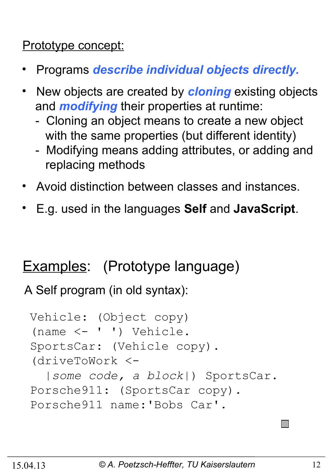#### Prototype concept:

- Programs *describe individual objects directly.*
- •New objects are created by *cloning* existing objects and *modifying* their properties at runtime:
	- Cloning an object means to create a new object with the same properties (but different identity)
	- Modifying means adding attributes, or adding and replacing methods
- Avoid distinction between classes and instances.
- E.g. used in the languages **Self** and **JavaScript**.

#### Examples: (Prototype language)

A Self program (in old syntax):

```
Vehicle: (Object copy)
(name <- ' ') Vehicle.
SportsCar: (Vehicle copy).
(driveToWork <- 
   |some code, a block|) SportsCar.
Porsche911: (SportsCar copy).
Porsche911 name:'Bobs Car'.
```
 $\Box$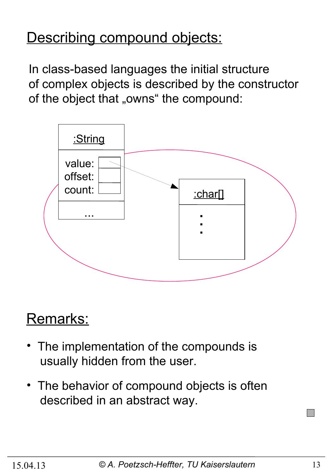#### Describing compound objects:

In class-based languages the initial structure of complex objects is described by the constructor of the object that "owns" the compound:



#### Remarks:

- The implementation of the compounds is usually hidden from the user.
- The behavior of compound objects is often described in an abstract way.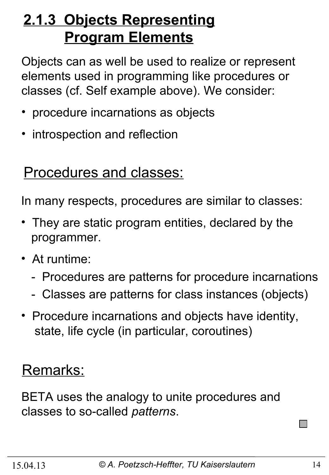#### **2.1.3 Objects Representing Program Elements**

Objects can as well be used to realize or represent elements used in programming like procedures or classes (cf. Self example above). We consider:

- procedure incarnations as objects
- introspection and reflection

#### Procedures and classes:

In many respects, procedures are similar to classes:

- They are static program entities, declared by the programmer.
- At runtime:
	- Procedures are patterns for procedure incarnations
	- Classes are patterns for class instances (objects)
- Procedure incarnations and objects have identity, state, life cycle (in particular, coroutines)

#### Remarks:

BETA uses the analogy to unite procedures and classes to so-called *patterns*.

 $\Box$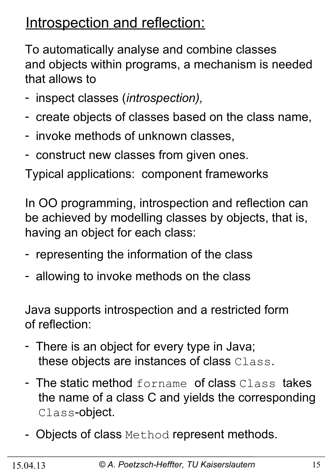#### Introspection and reflection:

To automatically analyse and combine classes and objects within programs, a mechanism is needed that allows to

- inspect classes (*introspection),*
- create objects of classes based on the class name,
- invoke methods of unknown classes,
- construct new classes from given ones.

Typical applications: component frameworks

In OO programming, introspection and reflection can be achieved by modelling classes by objects, that is, having an object for each class:

- representing the information of the class
- allowing to invoke methods on the class

Java supports introspection and a restricted form of reflection:

- There is an object for every type in Java; these objects are instances of class Class.
- The static method forname of class Class takes the name of a class C and yields the corresponding Class-object.
- Objects of class Method represent methods.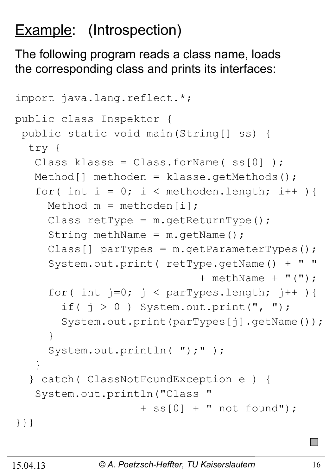### Example: (Introspection)

The following program reads a class name, loads the corresponding class and prints its interfaces:

```
import java.lang.reflect.*;
public class Inspektor {
 public static void main(String[] ss) {
   try {
   Class klasse = Class.forName(ss[0]);
   Method[] methoden = klasse.getMethods();
   for( int i = 0; i < methoden.length; i++ ){
     Method m = methoden[i];
     Class retType = m \cdot qetReturnType();
     String methName = m.getName();
     Class[] parTypes = m.getParameterTypes();
      System.out.print( retType.getName() + " "
                              + methName + "(");
     for( int j=0; j < parTypes.length; j++ ){
       if( j > 0 ) System.out.print(", ");
       System.out.print(parTypes[j].getName());
 }
     System.out.println( ");" );
    }
   } catch( ClassNotFoundException e ) {
   System.out.println("Class
                     + ss[0] + " not found");
}}}
```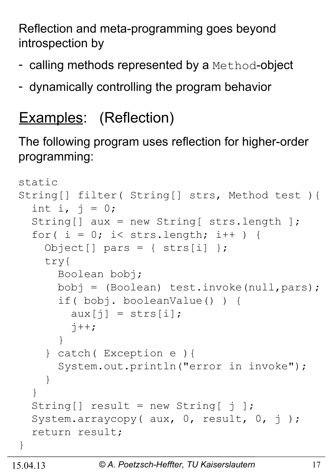Reflection and meta-programming goes beyond introspection by

- calling methods represented by a Method-object
- dynamically controlling the program behavior

### Examples: (Reflection)

The following program uses reflection for higher-order programming:

```
static 
String[] filter( String[] strs, Method test ){
  int i, j = 0;
   String[] aux = new String[ strs.length ];
  for( i = 0; i < strs.length; i++ ) {
    Object[] pars = { strs[i] };
     try{
       Boolean bobj;
       bobj = (Boolean) test.invoke(null,pars);
       if( bobj. booleanValue() ) {
         aux[j] = strs[i];\dot{7}++;
 }
     } catch( Exception e ){
       System.out.println("error in invoke");
     }
   }
  String [] result = new String \begin{bmatrix} 1 \end{bmatrix};
  System.arraycopy( aux, 0, result, 0, j);
   return result;
}
```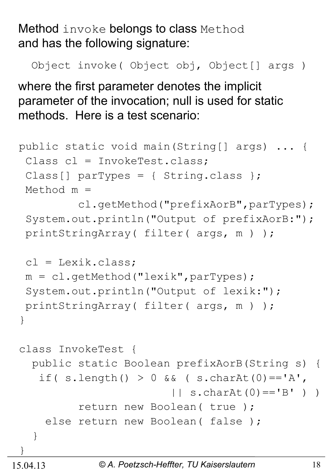Method invoke belongs to class Method and has the following signature:

Object invoke( Object obj, Object[] args )

where the first parameter denotes the implicit parameter of the invocation; null is used for static methods. Here is a test scenario:

```
public static void main(String[] args) ... {
 Class cl = InvokeTest.class;
 Class[] parTypes = { String.class };
 Method m = 
          cl.getMethod("prefixAorB",parTypes);
 System.out.println("Output of prefixAorB:");
 printStringArray( filter( args, m ) );
 cl = Lexik.class;m = c1.getMethod("lexik", parTypes);System.out.println("Output of lexik:");
 printStringArray( filter( args, m ) );
}
class InvokeTest {
   public static Boolean prefixAorB(String s) {
   if( s.length() > 0 \&&( s.charAt(0) =='A',
                        | \cdot | s.charAt(0) == 'B' ) )
          return new Boolean( true );
    else return new Boolean (false);
   }
}
```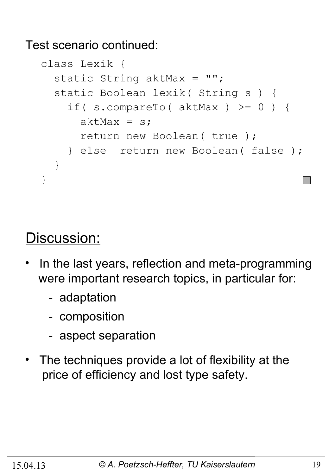Test scenario continued:

```
class Lexik {
  static String aktMax = "";
   static Boolean lexik( String s ) {
     if( s.compareTo( aktMax ) >= 0 ) {
      aktMax = s;
       return new Boolean( true );
     } else return new Boolean( false ); 
   }
}
```
#### Discussion:

- In the last years, reflection and meta-programming were important research topics, in particular for:
	- adaptation
	- composition
	- aspect separation
- The techniques provide a lot of flexibility at the price of efficiency and lost type safety.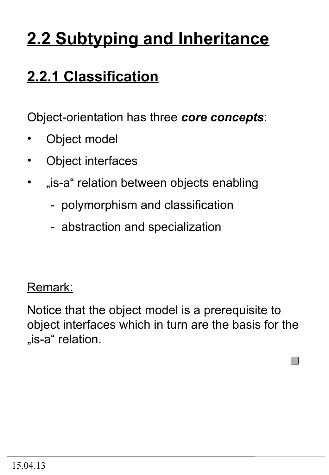# **2.2 Subtyping and Inheritance**

### **2.2.1 Classification**

Object-orientation has three *core concepts*:

- Object model
- Object interfaces
- "is-a" relation between objects enabling
	- polymorphism and classification
	- abstraction and specialization

#### Remark:

Notice that the object model is a prerequisite to object interfaces which in turn are the basis for the "is-a" relation.

 $\Box$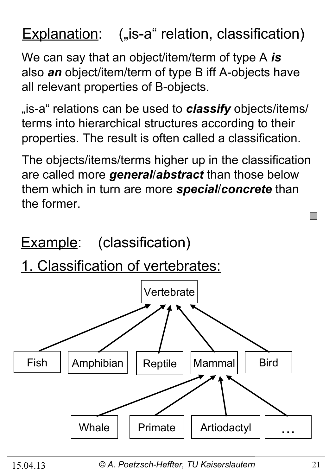#### **Explanation:** ("is-a" relation, classification)

We can say that an object/item/term of type A *is* also *an* object/item/term of type B iff A-objects have all relevant properties of B-objects.

<sub>"is-a</sub>" relations can be used to **classify** objects/items/ terms into hierarchical structures according to their properties. The result is often called a classification.

The objects/items/terms higher up in the classification are called more *general*/*abstract* than those below them which in turn are more *special*/*concrete* than the former.

**Example:** (classification)

1. Classification of vertebrates:



15.04.13 *© A. Poetzsch-Heffter, TU Kaiserslautern* 21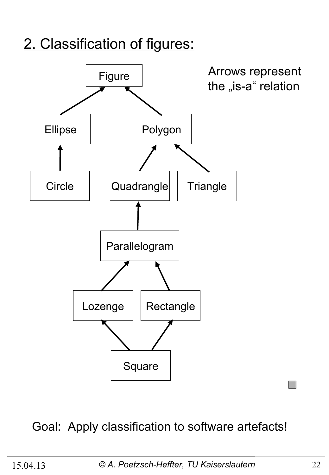#### 2. Classification of figures:



#### Goal: Apply classification to software artefacts!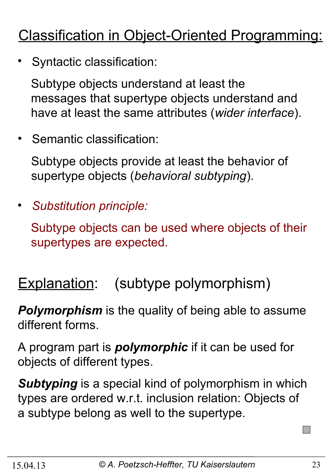### Classification in Object-Oriented Programming:

• Syntactic classification:

 Subtype objects understand at least the messages that supertype objects understand and have at least the same attributes (*wider interface*).

• Semantic classification:

 Subtype objects provide at least the behavior of supertype objects (*behavioral subtyping*).

• *Substitution principle:*

 Subtype objects can be used where objects of their supertypes are expected.

#### Explanation: (subtype polymorphism)

*Polymorphism* is the quality of being able to assume different forms.

A program part is *polymorphic* if it can be used for objects of different types.

*Subtyping* is a special kind of polymorphism in which types are ordered w.r.t. inclusion relation: Objects of a subtype belong as well to the supertype.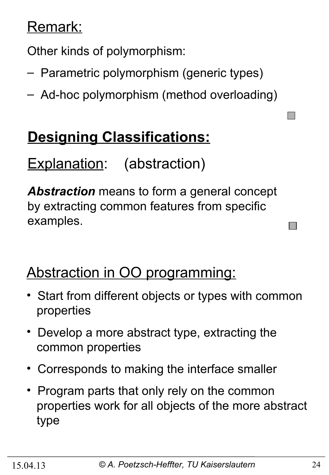#### Remark:

Other kinds of polymorphism:

- Parametric polymorphism (generic types)
- Ad-hoc polymorphism (method overloading)

### **Designing Classifications:**

Explanation: (abstraction)

*Abstraction* means to form a general concept by extracting common features from specific examples.

#### Abstraction in OO programming:

- Start from different objects or types with common properties
- Develop a more abstract type, extracting the common properties
- Corresponds to making the interface smaller
- Program parts that only rely on the common properties work for all objects of the more abstract type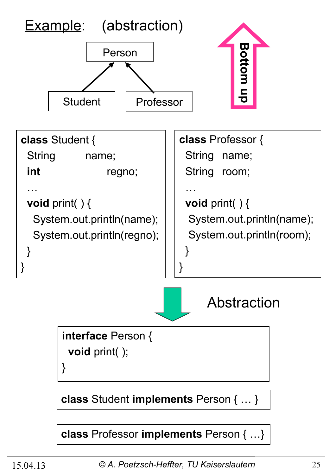

**class** Professor **implements** Person { …}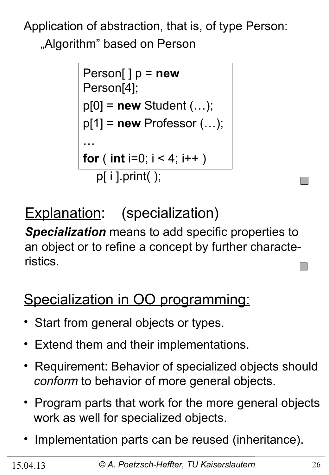Application of abstraction, that is, of type Person: "Algorithm" based on Person

```
Person[ ] p = new
Person[4];
p[0] = new Student (…);
p[1] = new Professor (…);
…
for ( int i=0; i < 4; i++ )
   p[ i ].print( );
```
Explanation: (specialization)

*Specialization* means to add specific properties to an object or to refine a concept by further characteristics.

### Specialization in OO programming:

- Start from general objects or types.
- Extend them and their implementations.
- Requirement: Behavior of specialized objects should *conform* to behavior of more general objects.
- Program parts that work for the more general objects work as well for specialized objects.
- Implementation parts can be reused (inheritance).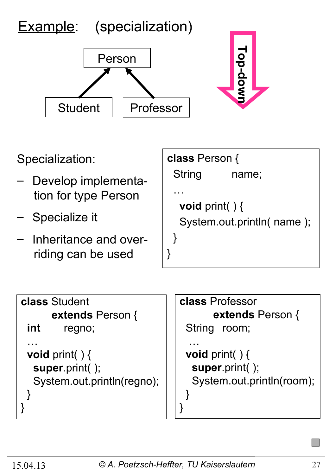

**class** Student **extends** Person { **int** regno; … **void** print( ) { **super**.print( ); System.out.println(regno); } }

**class** Professor **extends** Person { String room; … **void** print( ) { **super**.print( ); System.out.println(room); } }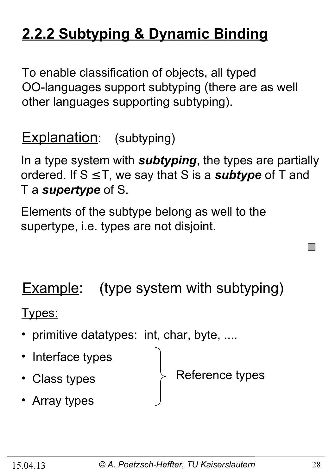### **2.2.2 Subtyping & Dynamic Binding**

To enable classification of objects, all typed OO-languages support subtyping (there are as well other languages supporting subtyping).

**Explanation:** (subtyping)

In a type system with *subtyping*, the types are partially ordered. If S ≤ T, we say that S is a *subtype* of T and T a *supertype* of S.

Elements of the subtype belong as well to the supertype, i.e. types are not disjoint.

**Example:** (type system with subtyping)

Types:

- primitive datatypes: int, char, byte, ....
- Interface types
- Class types

Reference types

• Array types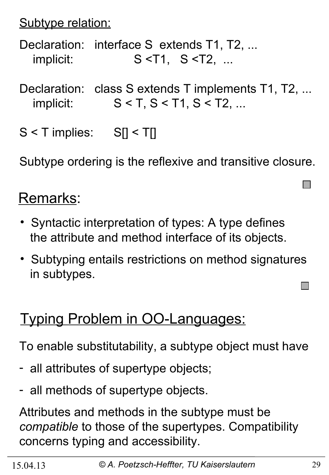Subtype relation:

Declaration: interface S extends T1, T2, ... implicit: S <T1, S <T2, ...

Declaration: class S extends T implements T1, T2, ... implicit:  $S < T, S < T1, S < T2, ...$ 

S < T implies: S[] < T[]

Subtype ordering is the reflexive and transitive closure.

#### Remarks:

- Syntactic interpretation of types: A type defines the attribute and method interface of its objects.
- Subtyping entails restrictions on method signatures in subtypes.

#### Typing Problem in OO-Languages:

To enable substitutability, a subtype object must have

- all attributes of supertype objects;
- all methods of supertype objects.

Attributes and methods in the subtype must be *compatible* to those of the supertypes. Compatibility concerns typing and accessibility.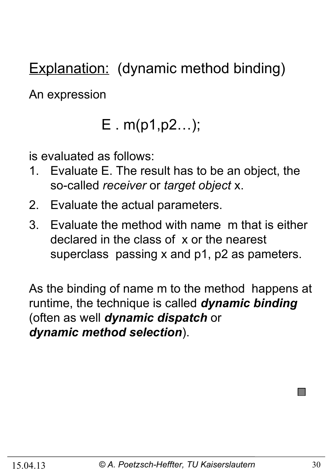Explanation: (dynamic method binding)

An expression

### E . m(p1,p2…);

is evaluated as follows:

- 1. Evaluate E. The result has to be an object, the so-called *receiver* or *target object* x.
- 2. Evaluate the actual parameters.
- 3. Evaluate the method with name m that is either declared in the class of x or the nearest superclass passing x and p1, p2 as pameters.

As the binding of name m to the method happens at runtime, the technique is called *dynamic binding*  (often as well *dynamic dispatch* or *dynamic method selection*).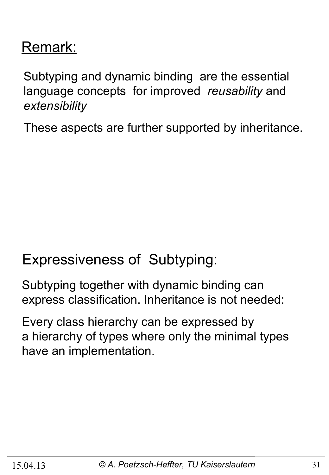#### Remark:

Subtyping and dynamic binding are the essential language concepts for improved *reusability* and *extensibility* 

These aspects are further supported by inheritance.

#### **Expressiveness of Subtyping:**

Subtyping together with dynamic binding can express classification. Inheritance is not needed:

Every class hierarchy can be expressed by a hierarchy of types where only the minimal types have an implementation.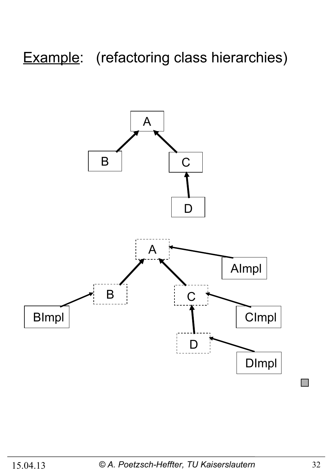### Example: (refactoring class hierarchies)

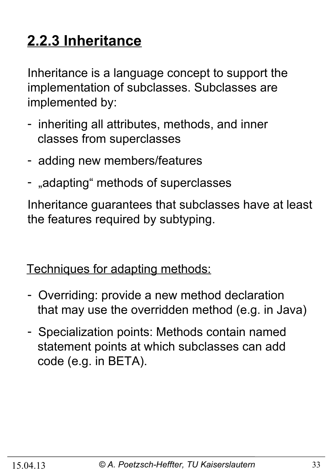## **2.2.3 Inheritance**

Inheritance is a language concept to support the implementation of subclasses. Subclasses are implemented by:

- inheriting all attributes, methods, and inner classes from superclasses
- adding new members/features
- "adapting" methods of superclasses

Inheritance guarantees that subclasses have at least the features required by subtyping.

Techniques for adapting methods:

- Overriding: provide a new method declaration that may use the overridden method (e.g. in Java)
- Specialization points: Methods contain named statement points at which subclasses can add code (e.g. in BETA).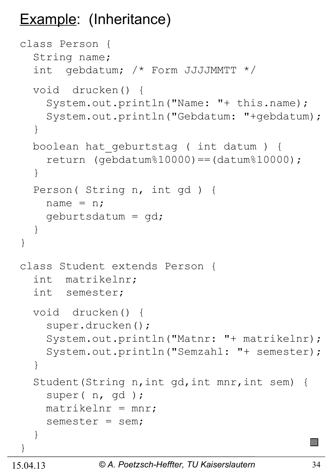#### Example: (Inheritance)

```
class Person {
   String name;
   int gebdatum; /* Form JJJJMMTT */
   void drucken() {
     System.out.println("Name: "+ this.name);
     System.out.println("Gebdatum: "+gebdatum);
   }
   boolean hat_geburtstag ( int datum ) {
    return (qebdatum%10000) == (datum%10000); }
   Person( String n, int gd ) {
    name = n; geburtsdatum = gd;
   }
}
class Student extends Person {
   int matrikelnr;
   int semester;
   void drucken() {
     super.drucken();
     System.out.println("Matnr: "+ matrikelnr);
     System.out.println("Semzahl: "+ semester);
   }
   Student(String n,int gd,int mnr,int sem) {
     super( n, gd );
    matrix = mn;
     semester = sem;
   }
}
```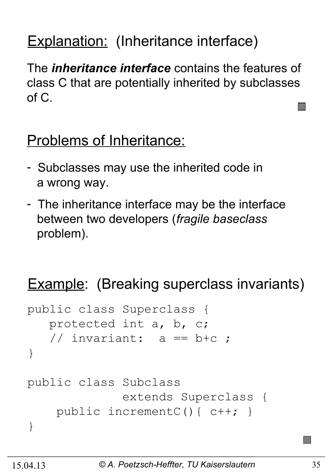### Explanation: (Inheritance interface)

The *inheritance interface* contains the features of class C that are potentially inherited by subclasses of C.

#### Problems of Inheritance:

- Subclasses may use the inherited code in a wrong way.
- The inheritance interface may be the interface between two developers (*fragile baseclass* problem).

### **Example:** (Breaking superclass invariants)

```
public class Superclass {
    protected int a, b, c;
   // invariant: a == b+c ;
}
public class Subclass 
               extends Superclass {
     public incrementC(){ c++; }
}
```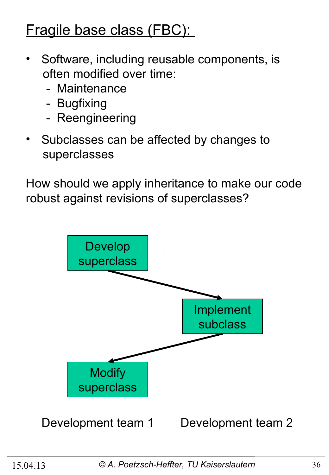#### Fragile base class (FBC):

- Software, including reusable components, is often modified over time:
	- Maintenance
	- Bugfixing
	- Reengineering
- Subclasses can be affected by changes to superclasses

How should we apply inheritance to make our code robust against revisions of superclasses?

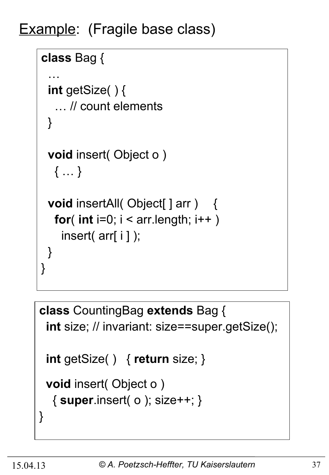Example: (Fragile base class)

```
class Bag {
 …
  int getSize( ) {
    … // count elements
  }
  void insert( Object o ) 
   { … }
 void insertAll( Object[ ] arr ) {
   for( int i=0; i < \arctan 1 ength; i++ )
    insert( arr[ i ] );
  }
}
```

```
class CountingBag extends Bag {
  int size; // invariant: size==super.getSize();
  int getSize( ) { return size; }
  void insert( Object o ) 
   { super.insert( o ); size++; }
}
```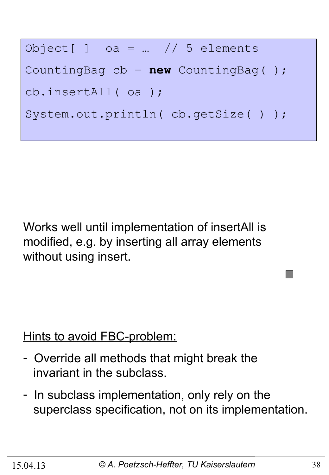

Works well until implementation of insertAll is modified, e.g. by inserting all array elements without using insert.

Hints to avoid FBC-problem:

- Override all methods that might break the invariant in the subclass.
- In subclass implementation, only rely on the superclass specification, not on its implementation.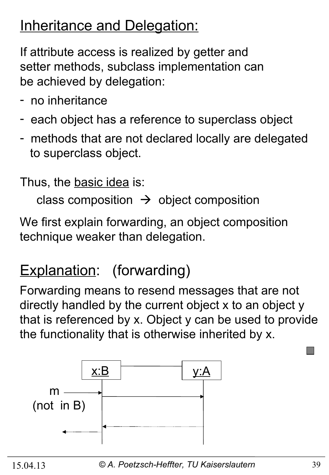#### **Inheritance and Delegation:**

If attribute access is realized by getter and setter methods, subclass implementation can be achieved by delegation:

- no inheritance
- each object has a reference to superclass object
- methods that are not declared locally are delegated to superclass object.

Thus, the basic idea is:

class composition  $\rightarrow$  object composition

We first explain forwarding, an object composition technique weaker than delegation.

#### Explanation: (forwarding)

Forwarding means to resend messages that are not directly handled by the current object x to an object y that is referenced by x. Object y can be used to provide the functionality that is otherwise inherited by x.

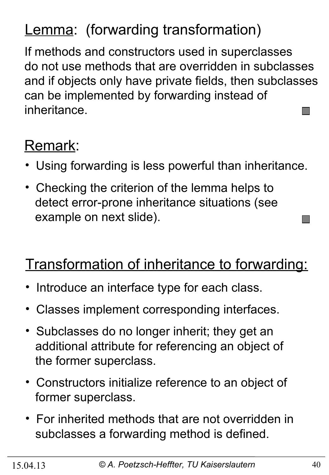### Lemma: (forwarding transformation)

If methods and constructors used in superclasses do not use methods that are overridden in subclasses and if objects only have private fields, then subclasses can be implemented by forwarding instead of inheritance.  $\mathcal{O}(\mathbb{R}^d)$ 

### Remark:

- Using forwarding is less powerful than inheritance.
- Checking the criterion of the lemma helps to detect error-prone inheritance situations (see example on next slide).

#### Transformation of inheritance to forwarding:

- Introduce an interface type for each class.
- Classes implement corresponding interfaces.
- Subclasses do no longer inherit; they get an additional attribute for referencing an object of the former superclass.
- Constructors initialize reference to an object of former superclass.
- For inherited methods that are not overridden in subclasses a forwarding method is defined.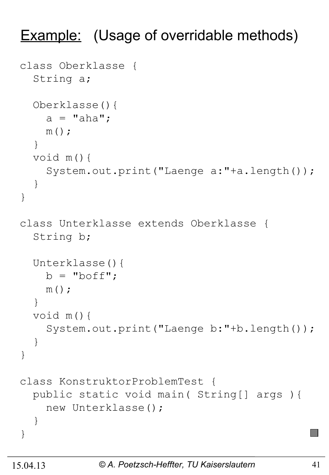#### **Example:** (Usage of overridable methods)

```
class Oberklasse {
   String a;
   Oberklasse(){
    a = "aha";m();
   }
   void m(){
     System.out.print("Laenge a:"+a.length());
   }
}
class Unterklasse extends Oberklasse {
   String b;
   Unterklasse(){
    b = "boff";m();
   }
   void m(){
     System.out.print("Laenge b:"+b.length());
   }
}
class KonstruktorProblemTest {
   public static void main( String[] args ){
     new Unterklasse();
   }
}
```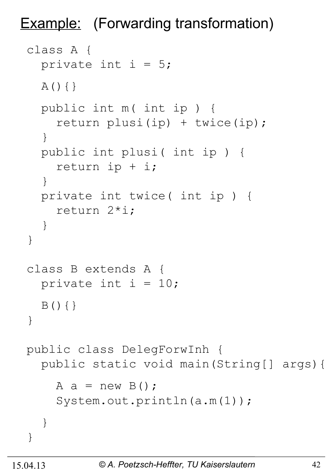Example: (Forwarding transformation)

```
class A {
  private int i = 5;
  A() { } public int m( int ip ) {
     return plusi(ip) + twice(ip);
   }
   public int plusi( int ip ) {
     return ip + i;
   }
   private int twice( int ip ) {
     return 2*i;
   }
}
class B extends A {
  private int i = 10;
  B() { }
}
public class DelegForwInh {
   public static void main(String[] args){
    A a = new B();
     System.out.println(a.m(1));
   }
}
```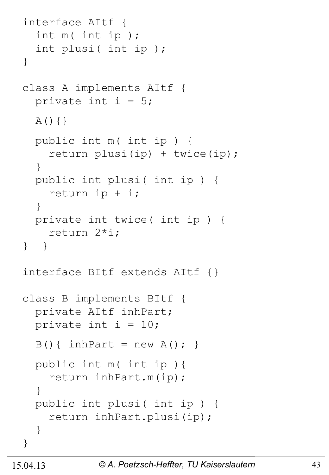```
interface AItf {
   int m( int ip ); 
   int plusi( int ip ); 
}
class A implements AItf {
  private int i = 5;
   A(){}
   public int m( int ip ) {
     return plusi(ip) + twice(ip);
   }
   public int plusi( int ip ) {
     return ip + i;
   }
   private int twice( int ip ) {
     return 2*i;
} }
interface BItf extends AItf {}
class B implements BItf {
   private AItf inhPart;
  private int i = 10;
  B() { inhPart = new A(); }
   public int m( int ip ){
     return inhPart.m(ip);
   } 
   public int plusi( int ip ) {
     return inhPart.plusi(ip);
   } 
}
```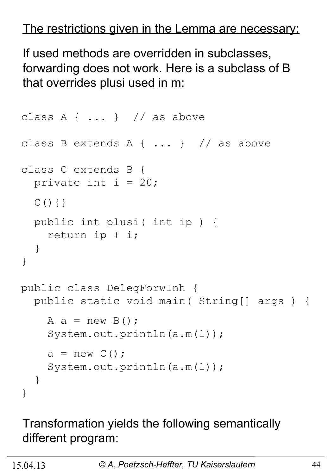#### The restrictions given in the Lemma are necessary:

If used methods are overridden in subclasses, forwarding does not work. Here is a subclass of B that overrides plusi used in m:

```
class A { \dots } // as above
class B extends A { ... } // as above
class C extends B {
  private int i = 20;
  C() { }
   public int plusi( int ip ) {
     return ip + i;
   }
}
public class DelegForwInh {
   public static void main( String[] args ) {
    A a = new B();
     System.out.println(a.m(1));
    a = new C();
    System.out.println(a.m(1));
   }
}
```
#### Transformation yields the following semantically different program: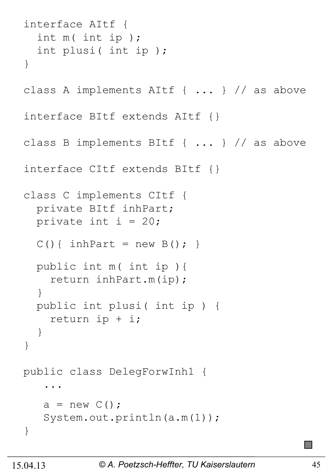```
interface AItf {
   int m( int ip ); 
   int plusi( int ip ); 
}
class A implements AItf { ... } // as above
interface BItf extends AItf {}
class B implements BItf { ... } // as above
interface CItf extends BItf {}
class C implements CItf {
   private BItf inhPart;
  private int i = 20;
  C() { inhPart = new B(); }
   public int m( int ip ){
     return inhPart.m(ip);
   }
   public int plusi( int ip ) {
     return ip + i;
   }
}
public class DelegForwInh1 { 
 ... 
   a = new C();
   System.out.println(a.m(1));
}
```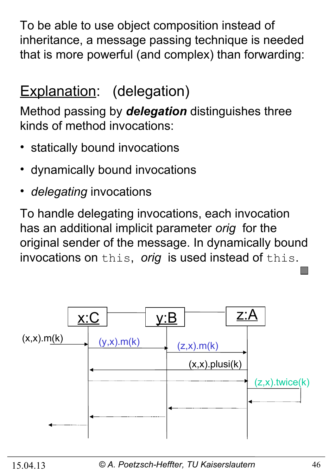To be able to use object composition instead of inheritance, a message passing technique is needed that is more powerful (and complex) than forwarding:

### Explanation: (delegation)

Method passing by *delegation* distinguishes three kinds of method invocations:

- statically bound invocations
- dynamically bound invocations
- *delegating* invocations

To handle delegating invocations, each invocation has an additional implicit parameter *orig* for the original sender of the message. In dynamically bound invocations on this, *orig* is used instead of this.

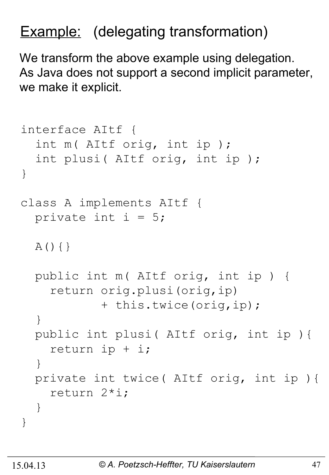#### Example: (delegating transformation)

We transform the above example using delegation. As Java does not support a second implicit parameter, we make it explicit.

```
interface AItf {
   int m( AItf orig, int ip ); 
   int plusi( AItf orig, int ip ); 
}
class A implements AItf {
  private int i = 5;
  A() { }
   public int m( AItf orig, int ip ) {
     return orig.plusi(orig,ip) 
             + this.twice(orig,ip);
   }
   public int plusi( AItf orig, int ip ){
     return ip + i;
   }
   private int twice( AItf orig, int ip ){
     return 2*i;
   }
}
```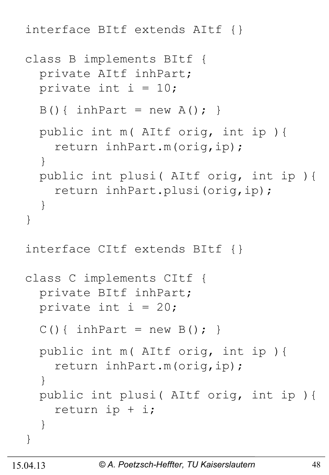interface BItf extends AItf {}

```
class B implements BItf {
   private AItf inhPart;
  private int i = 10;
  B() { inhPart = new A(); }
   public int m( AItf orig, int ip ){
     return inhPart.m(orig,ip);
   } 
   public int plusi( AItf orig, int ip ){
     return inhPart.plusi(orig,ip);
   } 
}
interface CItf extends BItf {}
class C implements CItf {
   private BItf inhPart;
 private int i = 20;
  C() { inhPart = new B() ; }
   public int m( AItf orig, int ip ){
     return inhPart.m(orig,ip);
   }
   public int plusi( AItf orig, int ip ){
     return ip + i;
   }
}
```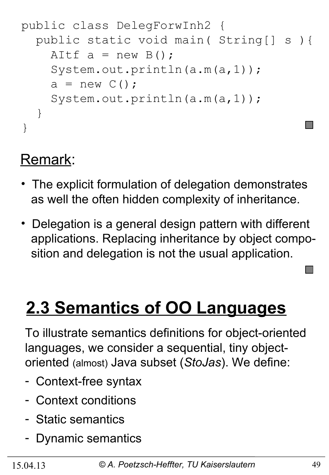```
public class DelegForwInh2 {
   public static void main( String[] s ){
    AItf a = new B();
     System.out.println(a.m(a,1));
    a = new C();
     System.out.println(a.m(a,1));
   }
}
```
#### Remark:

- The explicit formulation of delegation demonstrates as well the often hidden complexity of inheritance.
- Delegation is a general design pattern with different applications. Replacing inheritance by object compo sition and delegation is not the usual application.

# **2.3 Semantics of OO Languages**

To illustrate semantics definitions for object-oriented languages, we consider a sequential, tiny objectoriented (almost) Java subset (*StoJas*). We define:

- Context-free syntax
- Context conditions
- Static semantics
- Dynamic semantics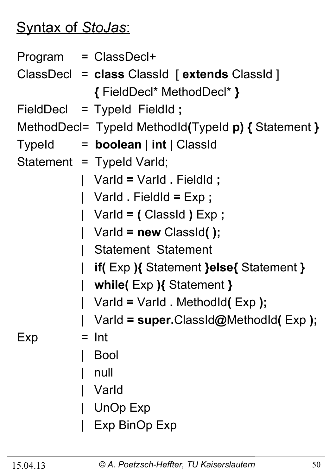#### Syntax of *StoJas*:

|                           |  | Program = ClassDecl+                                |
|---------------------------|--|-----------------------------------------------------|
|                           |  | ClassDecl = class ClassId [extends ClassId]         |
|                           |  | { FieldDecl* MethodDecl* }                          |
|                           |  | FieldDecl = Typeld FieldId;                         |
|                           |  | MethodDecl= TypeId MethodId(TypeId p) { Statement } |
|                           |  | Typeld $=$ <b>boolean</b> $ $ int $ $ Classid       |
| Statement = Typeld Varld; |  |                                                     |
|                           |  | Varld = Varld . Fieldld ;                           |
|                           |  | Varld $. $ FieldId = $Exp$ ;                        |
|                           |  | Varld = (ClassId) Exp;                              |
|                           |  | Varld = new ClassId();                              |
|                           |  | <b>Statement Statement</b>                          |
|                           |  | if(Exp){ Statement }else{ Statement }               |
|                           |  | while( $Exp$ ){ Statement }                         |
|                           |  | Varld = Varld . Methodld(Exp);                      |
|                           |  | Varld = super.ClassId@MethodId(Exp);                |
| Exp                       |  | $=$ Int                                             |
|                           |  | <b>Bool</b>                                         |
|                           |  | null                                                |
|                           |  | Varld                                               |
|                           |  | <b>UnOp Exp</b>                                     |
|                           |  | Exp BinOp Exp                                       |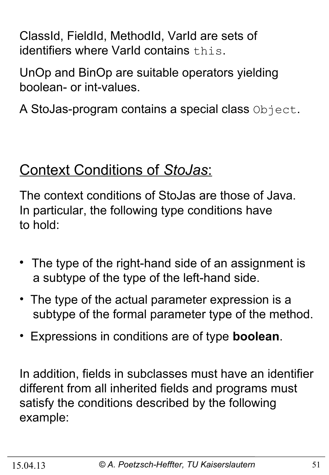ClassId, FieldId, MethodId, VarId are sets of identifiers where VarId contains this.

UnOp and BinOp are suitable operators yielding boolean- or int-values.

A StoJas-program contains a special class Object.

#### Context Conditions of *StoJas*:

The context conditions of StoJas are those of Java. In particular, the following type conditions have to hold:

- The type of the right-hand side of an assignment is a subtype of the type of the left-hand side.
- The type of the actual parameter expression is a subtype of the formal parameter type of the method.
- Expressions in conditions are of type **boolean**.

In addition, fields in subclasses must have an identifier different from all inherited fields and programs must satisfy the conditions described by the following example: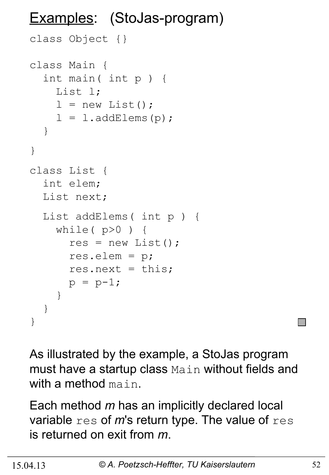#### Examples: (StoJas-program)

```
class Object {}
class Main {
   int main( int p ) {
     List l;
    l = new List();
    l = l.addElements(p);
   }
}
class List {
   int elem;
   List next;
   List addElems( int p ) {
    while(p>0) {
      res = new List();
       res.elem = p;
      res.next = this;p = p-1; }
   }
}
```
As illustrated by the example, a StoJas program must have a startup class Main without fields and with a method main.

Each method *m* has an implicitly declared local variable res of *m*'s return type. The value of res is returned on exit from *m*.

k.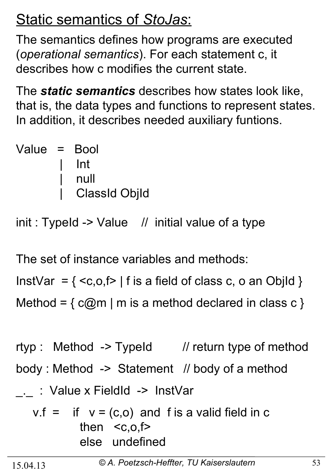### Static semantics of *StoJas*:

The semantics defines how programs are executed (*operational semantics*). For each statement c, it describes how c modifies the current state.

The *static semantics* describes how states look like, that is, the data types and functions to represent states. In addition, it describes needed auxiliary funtions.

| Value = Bool |                      |
|--------------|----------------------|
|              | l Int                |
|              | null                 |
|              | <b>ClassId ObjId</b> |

 $init: TypeId -> Value$  // initial value of a type

The set of instance variables and methods:

InstVar =  $\{  \mid f \text{ is a field of class } c, o \text{ an ObjId } \}$ Method =  $\{ c@m \mid m \text{ is a method declared in class } c \}$ 

rtyp : Method -> TypeId // return type of method body : Method -> Statement // body of a method . : Value x FieldId -> InstVar

$$
v.f = if v = (c,o) and f is a valid field in c\nthen  $\leq c,o,f$   
\nelse undefined
$$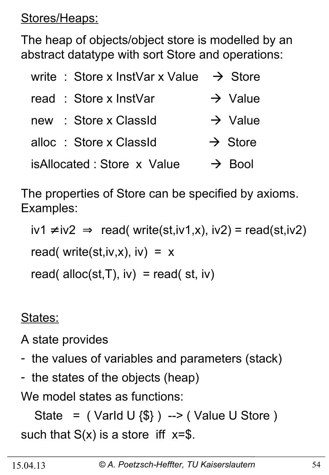Stores/Heaps:

The heap of objects/object store is modelled by an abstract datatype with sort Store and operations:

| write : Store x InstVar x Value $\rightarrow$ Store |                     |
|-----------------------------------------------------|---------------------|
| read: Store x InstVar                               | $\rightarrow$ Value |
| : Store x ClassId<br>new                            | $\rightarrow$ Value |
| alloc : Store x ClassId                             | $\rightarrow$ Store |
| isAllocated: Store x Value                          | $\rightarrow$ Bool  |

The properties of Store can be specified by axioms. Examples:

 $iv1 \neq iv2 \implies \text{read}(\text{write}(st,iv1,x), iv2) = \text{read}(st,iv2)$ read( write(st,iv,x), iv) =  $x$ read( alloc(st, T),  $iv$ ) = read( st,  $iv$ )

#### States:

A state provides

- the values of variables and parameters (stack)
- the states of the objects (heap)

We model states as functions:

State =  $($  Varld U  $\{\$\}$  ) -->  $($  Value U Store  $)$ such that  $S(x)$  is a store iff  $x=\$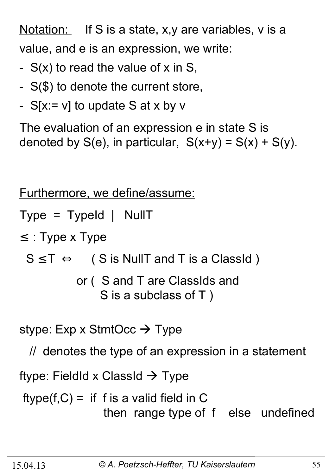Notation: If S is a state, x,y are variables, v is a value, and e is an expression, we write:

- $S(x)$  to read the value of x in S,
- S(\$) to denote the current store,
- $S[x := v]$  to update S at x by v

The evaluation of an expression e in state S is denoted by  $S(e)$ , in particular,  $S(x+y) = S(x) + S(y)$ .

Furthermore, we define/assume:

Type = TypeId | NullT

 $\le$ : Type x Type

 $S \leq T \Leftrightarrow$  ( S is NullT and T is a ClassId )

 or ( S and T are ClassIds and S is a subclass of T )

stype: Exp x StmtOcc  $\rightarrow$  Type

// denotes the type of an expression in a statement

ftype: FieldId x ClassId  $\rightarrow$  Type

 $ftype(f, C) =$  if f is a valid field in C then range type of f else undefined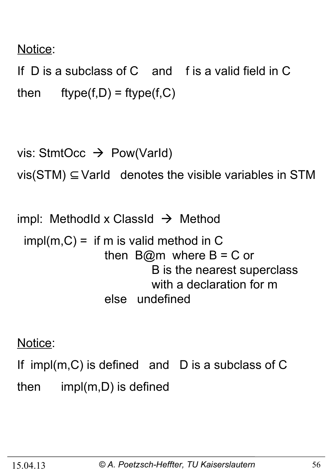#### Notice:

If D is a subclass of C and f is a valid field in C then  $ftype(f,D) = ftype(f,C)$ 

```
vis: StmtOcc \rightarrow Pow(VarId)
vis(STM) \subseteq Varld denotes the visible variables in STM
```
impl: MethodId x ClassId  $\rightarrow$  Method  $impl(m, C) =$  if m is valid method in C then  $B@m$  where  $B = C$  or B is the nearest superclass with a declaration for m else undefined

Notice:

If impl(m,C) is defined and D is a subclass of C then impl(m,D) is defined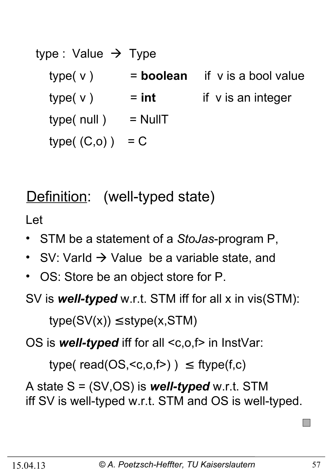| type : Value $\rightarrow$ Type |             |                         |
|---------------------------------|-------------|-------------------------|
| type(v)                         | $=$ boolean | if v is a bool value    |
| type(v)                         | $=$ int     | if $\vee$ is an integer |
| type( null)                     | $=$ NullT   |                         |
| type $(C, 0)$ )                 | $= C$       |                         |

### Definition: (well-typed state)

Let

- STM be a statement of a *StoJas*-program P,
- SV: Varld  $\rightarrow$  Value be a variable state, and
- OS: Store be an object store for P.

SV is *well-typed* w.r.t. STM iff for all x in vis(STM):

 $type(SV(x)) \leq style(x,STM)$ 

OS is **well-typed** iff for all <c,o,f> in InstVar:

type( $read(OS, )$ )  $\leq$  ftype( $f,c$ )

A state S = (SV,OS) is *well-typed* w.r.t. STM iff SV is well-typed w.r.t. STM and OS is well-typed.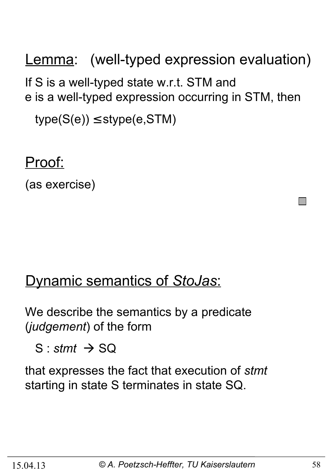Lemma: (well-typed expression evaluation) If S is a well-typed state w.r.t. STM and e is a well-typed expression occurring in STM, then  $type(S(e)) \leq stype(e,STM)$ 

Proof:

(as exercise)

#### Dynamic semantics of *StoJas*:

We describe the semantics by a predicate (*judgement*) of the form

 $S:$ *stmt*  $\rightarrow$  SQ

that expresses the fact that execution of *stmt* starting in state S terminates in state SQ.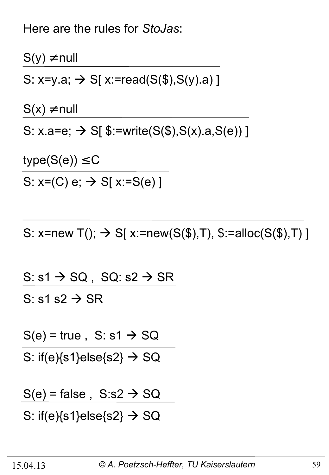Here are the rules for *StoJas*:

 $S(y) \neq null$ S: x=y.a;  $\rightarrow$  S[ x:=read(S(\$),S(y).a)]  $S(x) \neq null$ S:  $x.a = e$ ;  $\rightarrow$  S[ $\frac{\$:=\{w\}}{s}$  \sumit = (\faurah, \sumidsemusic \sumidsemusic \sumidsemusic \sumidsemusic \sumidsemusic \sumidsemusic \sumidsemusic \sumidsemusic \sumidsemusic \sumidsemusic \sumidsemusic \sumidsemusic  $type(S(e)) \leq C$ 

S:  $x=(C) e; \rightarrow S[x:=S(e)]$ 

S: x=new T();  $\rightarrow$  S[ x:=new(S(\$),T), \$:=alloc(S(\$),T) ]

S:  $s1 \rightarrow SQ$ , SQ:  $s2 \rightarrow SR$ S: s1 s2  $\rightarrow$  SR

 $S(e)$  = true, S: s1  $\rightarrow$  SQ

S: if(e) $\{s1\}$ else $\{s2\}$   $\rightarrow$  SQ

 $S(e)$  = false,  $S: s2 \rightarrow SQ$ 

S: if(e) $\{s1\}$ else $\{s2\} \rightarrow SQ$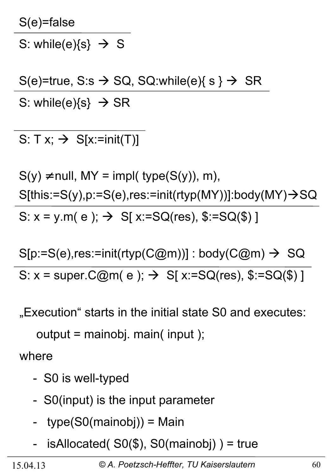S(e)=false

S: while(e) $\{s\} \rightarrow S$ 

 $S(e)$ =true, S:s  $\rightarrow$  SQ, SQ:while(e){ s }  $\rightarrow$  SR S: while(e) $\{s\} \rightarrow SR$ 

S:  $T x$ ;  $\rightarrow$  S[x:=init(T)]

 $S(y) \neq null$ , MY = impl( type( $S(y)$ ), m),  $S[this:=S(y), p:=S(e), res:=init(rtyp(MY))]:body(MY) \rightarrow SQ$ S:  $x = y.m(e)$ ;  $\rightarrow$  S[  $x:=SQ(res)$ ,  $\S := SQ(\$)$ ]

 $S[p:=S(e), res:=init(rtyp(C@m))]$ : body(C@m)  $\rightarrow$  SQ S:  $x = super.C@m(e); \rightarrow S[x:=SQ(res), $:=SQ($)]$ 

"Execution" starts in the initial state S0 and executes:

output = mainobj. main( input );

where

- S0 is well-typed
- S0(input) is the input parameter
- type(S0(mainobj)) = Main
- isAllocated( $SO(\$)$ , S0(mainobj)) = true